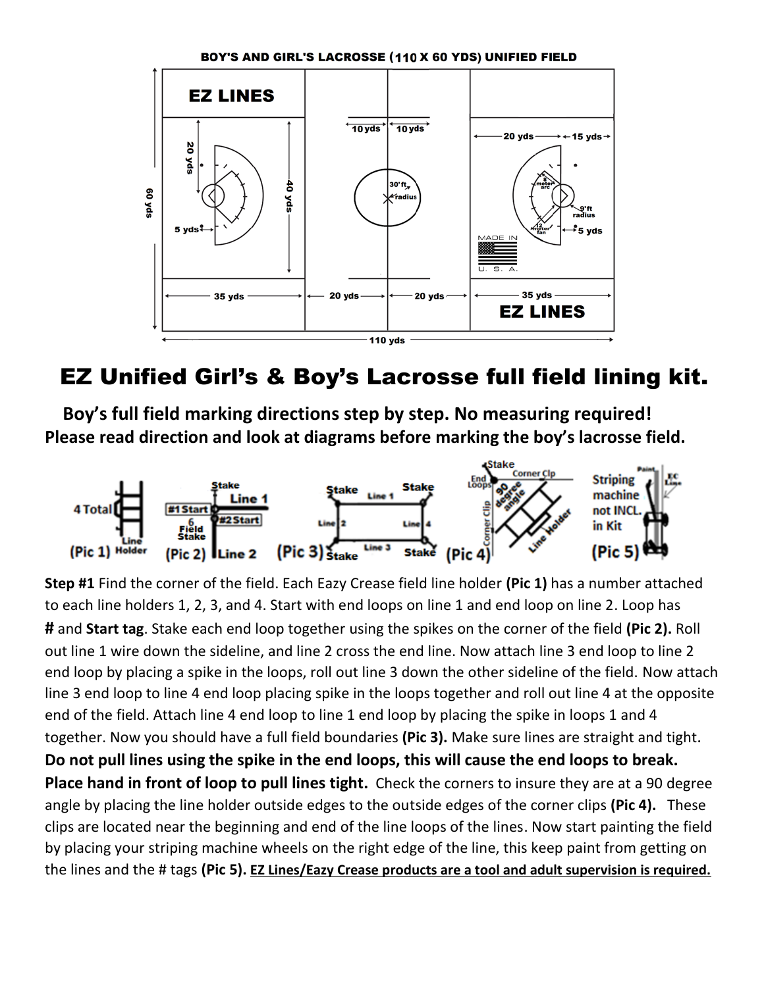

## EZ Unified Girl's & Boy's Lacrosse full field lining kit.

 **Boy's full field marking directions step by step. No measuring required! Please read direction and look at diagrams before marking the boy's lacrosse field.**



**Step #1** Find the corner of the field. Each Eazy Crease field line holder **(Pic 1)** has a number attached to each line holders 1, 2, 3, and 4. Start with end loops on line 1 and end loop on line 2. Loop has **#** and **Start tag**. Stake each end loop together using the spikes on the corner of the field **(Pic 2).** Roll out line 1 wire down the sideline, and line 2 cross the end line. Now attach line 3 end loop to line 2 end loop by placing a spike in the loops, roll out line 3 down the other sideline of the field. Now attach line 3 end loop to line 4 end loop placing spike in the loops together and roll out line 4 at the opposite end of the field. Attach line 4 end loop to line 1 end loop by placing the spike in loops 1 and 4 together. Now you should have a full field boundaries **(Pic 3).** Make sure lines are straight and tight. **Do not pull lines using the spike in the end loops, this will cause the end loops to break. Place hand in front of loop to pull lines tight.** Check the corners to insure they are at a 90 degree angle by placing the line holder outside edges to the outside edges of the corner clips **(Pic 4).** These clips are located near the beginning and end of the line loops of the lines. Now start painting the field by placing your striping machine wheels on the right edge of the line, this keep paint from getting on the lines and the # tags **(Pic 5). EZ Lines/Eazy Crease products are a tool and adult supervision is required.**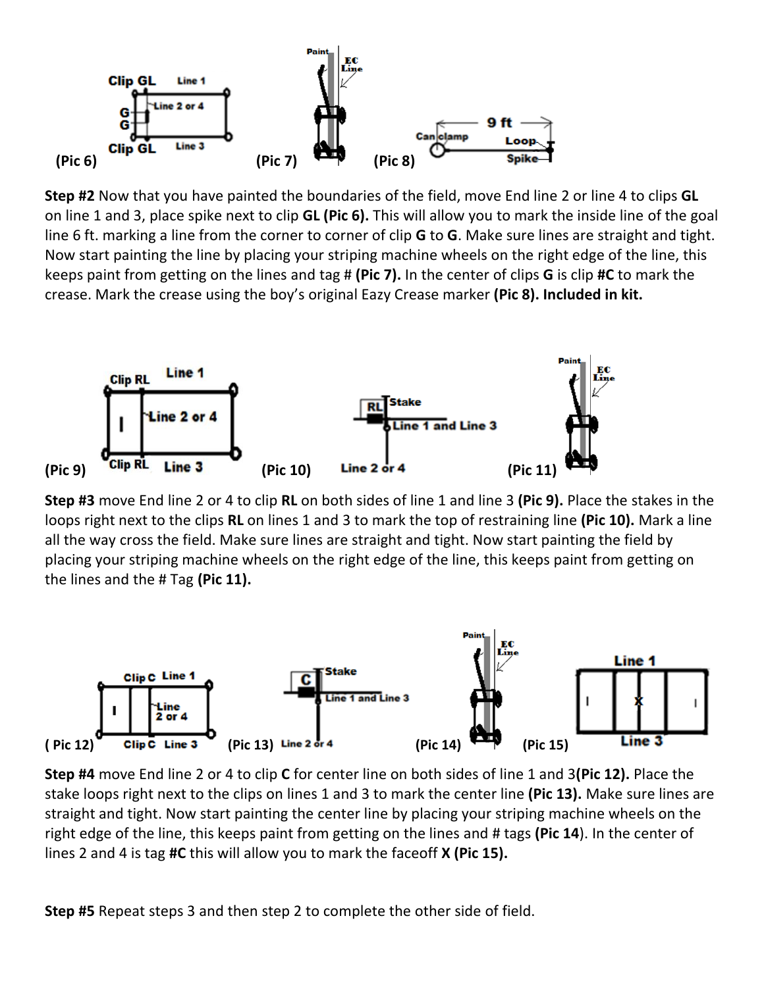

**Step #2** Now that you have painted the boundaries of the field, move End line 2 or line 4 to clips **GL** on line 1 and 3, place spike next to clip **GL (Pic 6).** This will allow you to mark the inside line of the goal line 6 ft. marking a line from the corner to corner of clip **G** to **G**. Make sure lines are straight and tight. Now start painting the line by placing your striping machine wheels on the right edge of the line, this keeps paint from getting on the lines and tag # **(Pic 7).** In the center of clips **G** is clip **#C** to mark the crease. Mark the crease using the boy's original Eazy Crease marker **(Pic 8). Included in kit.**



**Step #3** move End line 2 or 4 to clip **RL** on both sides of line 1 and line 3 **(Pic 9).** Place the stakes in the loops right next to the clips **RL** on lines 1 and 3 to mark the top of restraining line **(Pic 10).** Mark a line all the way cross the field. Make sure lines are straight and tight. Now start painting the field by placing your striping machine wheels on the right edge of the line, this keeps paint from getting on the lines and the # Tag **(Pic 11).**



**Step #4** move End line 2 or 4 to clip **C** for center line on both sides of line 1 and 3**(Pic 12).** Place the stake loops right next to the clips on lines 1 and 3 to mark the center line **(Pic 13).** Make sure lines are straight and tight. Now start painting the center line by placing your striping machine wheels on the right edge of the line, this keeps paint from getting on the lines and # tags **(Pic 14**). In the center of lines 2 and 4 is tag **#C** this will allow you to mark the faceoff **X (Pic 15).**

**Step #5** Repeat steps 3 and then step 2 to complete the other side of field.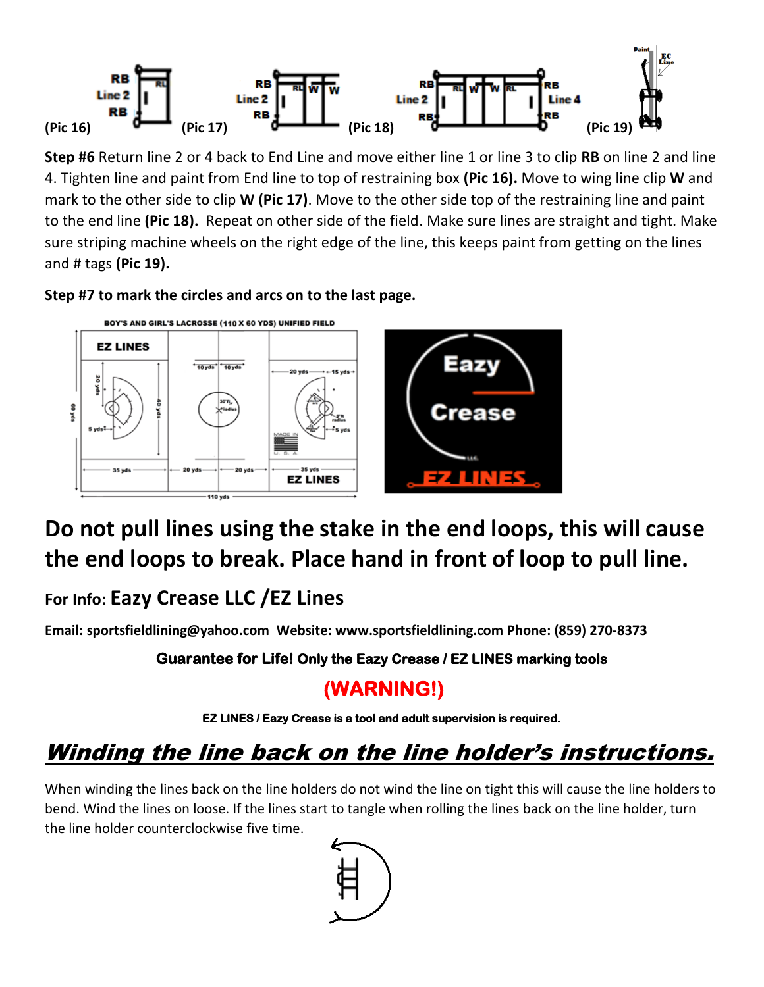

**Step #6** Return line 2 or 4 back to End Line and move either line 1 or line 3 to clip **RB** on line 2 and line 4. Tighten line and paint from End line to top of restraining box **(Pic 16).** Move to wing line clip **W** and mark to the other side to clip **W (Pic 17)**. Move to the other side top of the restraining line and paint to the end line **(Pic 18).** Repeat on other side of the field. Make sure lines are straight and tight. Make sure striping machine wheels on the right edge of the line, this keeps paint from getting on the lines and # tags **(Pic 19).**

**Step #7 to mark the circles and arcs on to the last page.**



## **Do not pull lines using the stake in the end loops, this will cause the end loops to break. Place hand in front of loop to pull line.**

## **For Info: Eazy Crease LLC /EZ Lines**

**Email: sportsfieldlining@yahoo.com Website: www.sportsfieldlining.com Phone: (859) 270-8373**

### **Guarantee for Life! Only the Eazy Crease / EZ LINES marking tools**

## **(WARNING!)**

**EZ LINES / Eazy Crease is a tool and adult supervision is required.** 

# Winding the line back on the line holder's instructions.

When winding the lines back on the line holders do not wind the line on tight this will cause the line holders to bend. Wind the lines on loose. If the lines start to tangle when rolling the lines back on the line holder, turn the line holder counterclockwise five time.